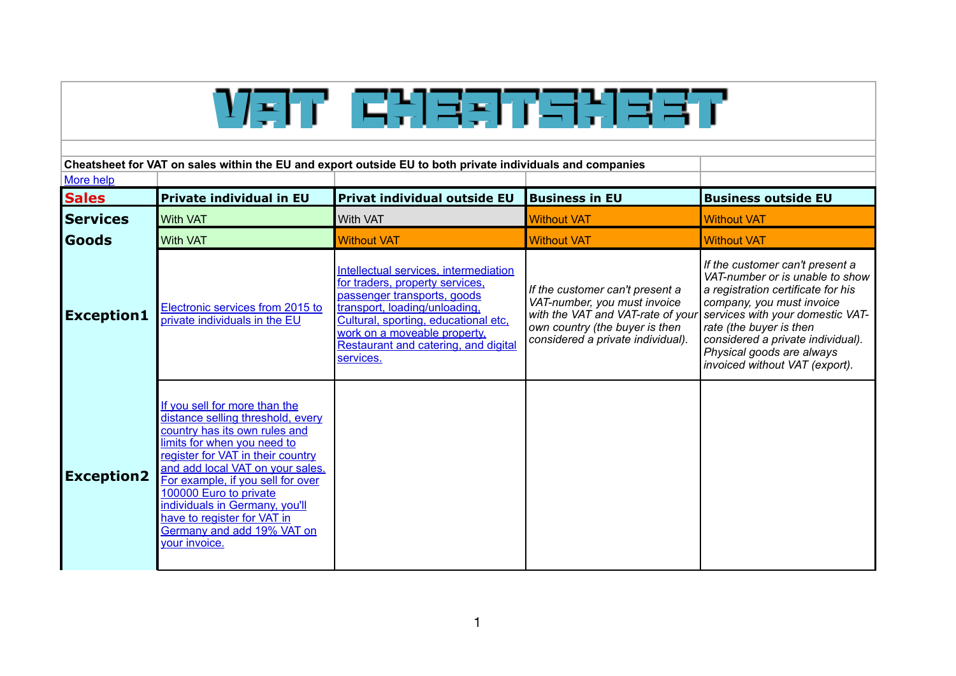| ソジア ドジョジアミジョミア                                                                                                         |                                                                                                                                                                                                                                                                                                                                                                                            |                                                                                                                                                                                                                                                                       |                                                                                                                                                                             |                                                                                                                                                                                                                                                                                                          |  |  |  |
|------------------------------------------------------------------------------------------------------------------------|--------------------------------------------------------------------------------------------------------------------------------------------------------------------------------------------------------------------------------------------------------------------------------------------------------------------------------------------------------------------------------------------|-----------------------------------------------------------------------------------------------------------------------------------------------------------------------------------------------------------------------------------------------------------------------|-----------------------------------------------------------------------------------------------------------------------------------------------------------------------------|----------------------------------------------------------------------------------------------------------------------------------------------------------------------------------------------------------------------------------------------------------------------------------------------------------|--|--|--|
| Cheatsheet for VAT on sales within the EU and export outside EU to both private individuals and companies<br>More help |                                                                                                                                                                                                                                                                                                                                                                                            |                                                                                                                                                                                                                                                                       |                                                                                                                                                                             |                                                                                                                                                                                                                                                                                                          |  |  |  |
| <b>Sales</b>                                                                                                           | <b>Private individual in EU</b>                                                                                                                                                                                                                                                                                                                                                            | Privat individual outside EU                                                                                                                                                                                                                                          | <b>Business in EU</b>                                                                                                                                                       | <b>Business outside EU</b>                                                                                                                                                                                                                                                                               |  |  |  |
| <b>Services</b>                                                                                                        | <b>With VAT</b>                                                                                                                                                                                                                                                                                                                                                                            | <b>With VAT</b>                                                                                                                                                                                                                                                       | <b>Without VAT</b>                                                                                                                                                          | <b>Without VAT</b>                                                                                                                                                                                                                                                                                       |  |  |  |
| Goods                                                                                                                  | <b>With VAT</b>                                                                                                                                                                                                                                                                                                                                                                            | <b>Without VAT</b>                                                                                                                                                                                                                                                    | <b>Without VAT</b>                                                                                                                                                          | <b>Without VAT</b>                                                                                                                                                                                                                                                                                       |  |  |  |
| <b>Exception1</b>                                                                                                      | Electronic services from 2015 to<br>private individuals in the EU                                                                                                                                                                                                                                                                                                                          | Intellectual services, intermediation<br>for traders, property services,<br>passenger transports, goods<br>transport, loading/unloading,<br>Cultural, sporting, educational etc,<br>work on a moveable property.<br>Restaurant and catering, and digital<br>services. | If the customer can't present a<br>VAT-number, you must invoice<br>with the VAT and VAT-rate of your<br>own country (the buyer is then<br>considered a private individual). | If the customer can't present a<br>VAT-number or is unable to show<br>a registration certificate for his<br>company, you must invoice<br>services with your domestic VAT-<br>rate (the buyer is then<br>considered a private individual).<br>Physical goods are always<br>invoiced without VAT (export). |  |  |  |
| <b>Exception2</b>                                                                                                      | If you sell for more than the<br>distance selling threshold, every<br>country has its own rules and<br>limits for when you need to<br>register for VAT in their country<br>and add local VAT on your sales.<br>For example, if you sell for over<br>100000 Euro to private<br>individuals in Germany, you'll<br>have to register for VAT in<br>Germany and add 19% VAT on<br>your invoice. |                                                                                                                                                                                                                                                                       |                                                                                                                                                                             |                                                                                                                                                                                                                                                                                                          |  |  |  |